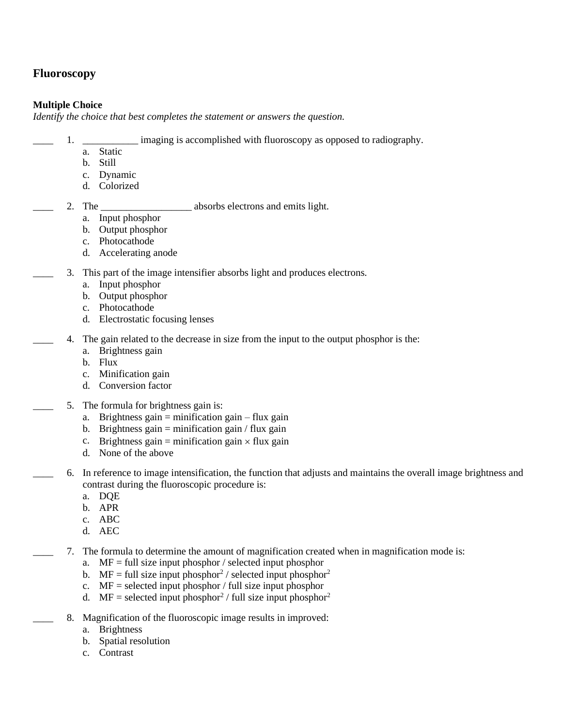## **Fluoroscopy**

### **Multiple Choice**

*Identify the choice that best completes the statement or answers the question.*

- 1. \_\_\_\_\_\_\_\_\_\_\_\_ imaging is accomplished with fluoroscopy as opposed to radiography.
	- a. Static
	- b. Still
	- c. Dynamic
	- d. Colorized
- 

2. The **\_\_\_\_\_\_\_\_\_\_\_\_\_\_\_\_\_** absorbs electrons and emits light.

- a. Input phosphor
- b. Output phosphor
- c. Photocathode
- d. Accelerating anode
- 3. This part of the image intensifier absorbs light and produces electrons.
	- a. Input phosphor
	- b. Output phosphor
	- c. Photocathode
	- d. Electrostatic focusing lenses
	- \_\_\_\_ 4. The gain related to the decrease in size from the input to the output phosphor is the:
		- a. Brightness gain
		- b. Flux
		- c. Minification gain
		- d. Conversion factor
		- 5. The formula for brightness gain is:
			- a. Brightness gain  $=$  minification gain  $-$  flux gain
			- b. Brightness gain = minification gain / flux gain
			- c. Brightness gain = minification gain  $\times$  flux gain
			- d. None of the above
		- \_\_\_\_ 6. In reference to image intensification, the function that adjusts and maintains the overall image brightness and contrast during the fluoroscopic procedure is:
			- a. DQE
			- b. APR
			- c. ABC
			- d. AEC
		- \_\_\_\_ 7. The formula to determine the amount of magnification created when in magnification mode is:
			- a.  $MF = full size input phosphory selected input photograph or$
			- b. MF = full size input phosphor<sup>2</sup> / selected input phosphor<sup>2</sup>
			- c.  $MF = selected input phosphory full size input phosphory$
			- d. MF = selected input phosphor<sup>2</sup> / full size input phosphor<sup>2</sup>
			- 8. Magnification of the fluoroscopic image results in improved:
				- a. Brightness
				- b. Spatial resolution
				- c. Contrast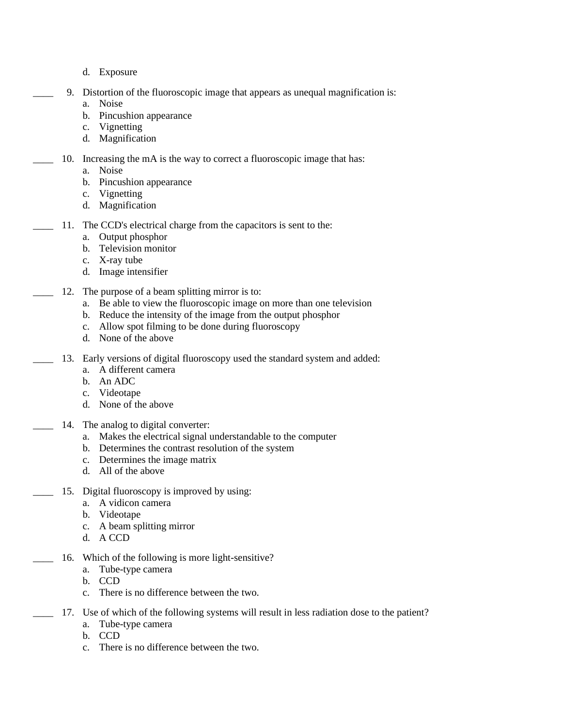- d. Exposure
- 9. Distortion of the fluoroscopic image that appears as unequal magnification is:
	- a. Noise
	- b. Pincushion appearance
	- c. Vignetting
	- d. Magnification
- 10. Increasing the mA is the way to correct a fluoroscopic image that has:
	- a. Noise
	- b. Pincushion appearance
	- c. Vignetting
	- d. Magnification
	- \_\_\_\_ 11. The CCD's electrical charge from the capacitors is sent to the:
		- a. Output phosphor
		- b. Television monitor
		- c. X-ray tube
		- d. Image intensifier
- 12. The purpose of a beam splitting mirror is to:
	- a. Be able to view the fluoroscopic image on more than one television
	- b. Reduce the intensity of the image from the output phosphor
	- c. Allow spot filming to be done during fluoroscopy
	- d. None of the above
- 13. Early versions of digital fluoroscopy used the standard system and added:
	- a. A different camera
	- b. An ADC
	- c. Videotape
	- d. None of the above
- 14. The analog to digital converter:
	- a. Makes the electrical signal understandable to the computer
	- b. Determines the contrast resolution of the system
	- c. Determines the image matrix
	- d. All of the above
- 15. Digital fluoroscopy is improved by using:
	- a. A vidicon camera
	- b. Videotape
	- c. A beam splitting mirror
	- d. A CCD
	- 16. Which of the following is more light-sensitive?
		- a. Tube-type camera
		- b. CCD
		- c. There is no difference between the two.
	- 17. Use of which of the following systems will result in less radiation dose to the patient?
		- a. Tube-type camera
		- b. CCD
		- c. There is no difference between the two.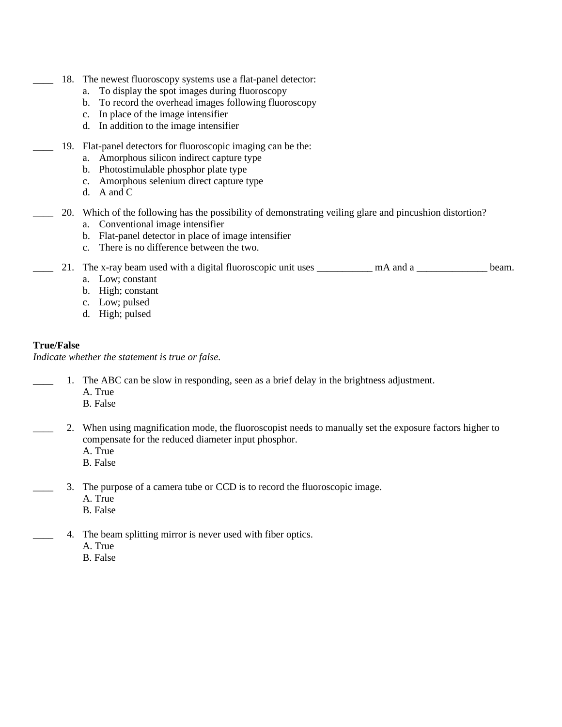- 18. The newest fluoroscopy systems use a flat-panel detector:
	- a. To display the spot images during fluoroscopy
	- b. To record the overhead images following fluoroscopy
	- c. In place of the image intensifier
	- d. In addition to the image intensifier
- \_\_\_\_ 19. Flat-panel detectors for fluoroscopic imaging can be the:
	- a. Amorphous silicon indirect capture type
	- b. Photostimulable phosphor plate type
	- c. Amorphous selenium direct capture type
	- d. A and C
- \_\_\_\_ 20. Which of the following has the possibility of demonstrating veiling glare and pincushion distortion?
	- a. Conventional image intensifier
	- b. Flat-panel detector in place of image intensifier
	- c. There is no difference between the two.

21. The x-ray beam used with a digital fluoroscopic unit uses \_\_\_\_\_\_\_\_\_\_ mA and a \_\_\_\_\_\_\_\_\_\_\_\_\_\_ beam.

- a. Low; constant
- b. High; constant
- c. Low; pulsed
- d. High; pulsed

### **True/False**

*Indicate whether the statement is true or false.*

- 1. The ABC can be slow in responding, seen as a brief delay in the brightness adjustment.
	- A. True
	- B. False
- \_\_\_\_ 2. When using magnification mode, the fluoroscopist needs to manually set the exposure factors higher to compensate for the reduced diameter input phosphor.
	- A. True
	- B. False
- \_\_\_\_ 3. The purpose of a camera tube or CCD is to record the fluoroscopic image.
	- A. True
	- B. False
- 4. The beam splitting mirror is never used with fiber optics.
	- A. True
	- B. False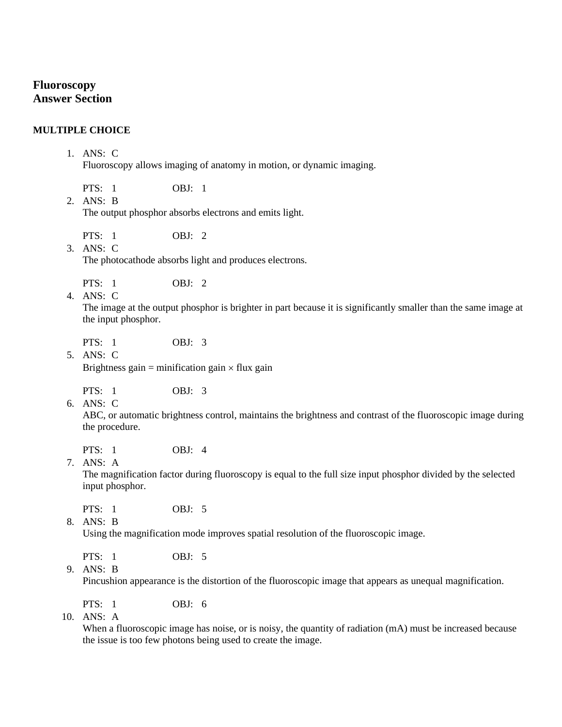# **Fluoroscopy Answer Section**

#### **MULTIPLE CHOICE**

#### 1. ANS: C

Fluoroscopy allows imaging of anatomy in motion, or dynamic imaging.

PTS: 1 OBJ: 1

2. ANS: B The output phosphor absorbs electrons and emits light.

 $PTS: 1$  OBJ: 2

3. ANS: C The photocathode absorbs light and produces electrons.

PTS: 1 OBJ: 2

4. ANS: C

The image at the output phosphor is brighter in part because it is significantly smaller than the same image at the input phosphor.

PTS: 1 OBJ: 3

5. ANS: C Brightness gain = minification gain  $\times$  flux gain

PTS: 1 OBJ: 3

6. ANS: C

ABC, or automatic brightness control, maintains the brightness and contrast of the fluoroscopic image during the procedure.

PTS: 1 OBJ: 4

7. ANS: A

The magnification factor during fluoroscopy is equal to the full size input phosphor divided by the selected input phosphor.

PTS: 1 OBJ: 5

8. ANS: B

Using the magnification mode improves spatial resolution of the fluoroscopic image.

PTS: 1 OBJ: 5

9. ANS: B

Pincushion appearance is the distortion of the fluoroscopic image that appears as unequal magnification.

PTS: 1 OBJ: 6

10. ANS: A

When a fluoroscopic image has noise, or is noisy, the quantity of radiation  $(mA)$  must be increased because the issue is too few photons being used to create the image.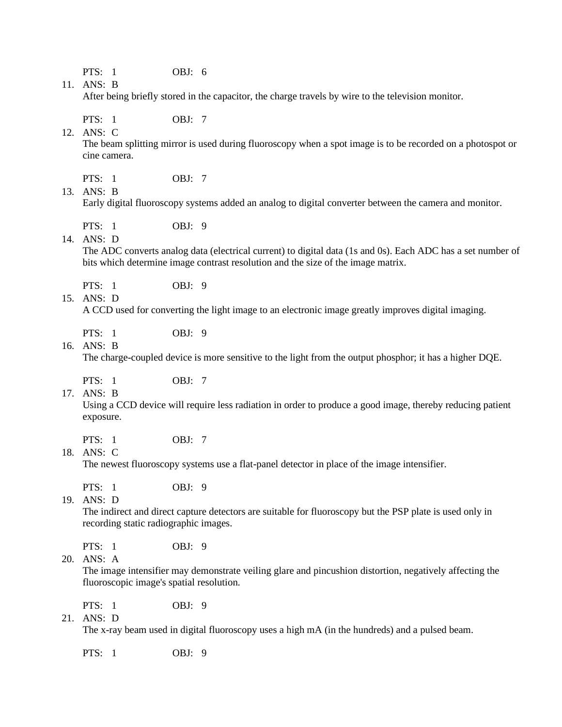PTS: 1 OBJ: 6

11. ANS: B

12. ANS: C

After being briefly stored in the capacitor, the charge travels by wire to the television monitor.

PTS: 1 OBJ: 7

The beam splitting mirror is used during fluoroscopy when a spot image is to be recorded on a photospot or cine camera.

PTS: 1 OBJ: 7

13. ANS: B

Early digital fluoroscopy systems added an analog to digital converter between the camera and monitor.

PTS: 1 0BJ: 9

14. ANS: D

The ADC converts analog data (electrical current) to digital data (1s and 0s). Each ADC has a set number of bits which determine image contrast resolution and the size of the image matrix.

PTS: 1 0BJ: 9

15. ANS: D

A CCD used for converting the light image to an electronic image greatly improves digital imaging.

PTS: 1 0BJ: 9

16. ANS: B

The charge-coupled device is more sensitive to the light from the output phosphor; it has a higher DQE.

PTS: 1 OBJ: 7

17. ANS: B

Using a CCD device will require less radiation in order to produce a good image, thereby reducing patient exposure.

PTS: 1 OBJ: 7

18. ANS: C

The newest fluoroscopy systems use a flat-panel detector in place of the image intensifier.

PTS: 1 OBJ: 9

19. ANS: D

The indirect and direct capture detectors are suitable for fluoroscopy but the PSP plate is used only in recording static radiographic images.

PTS: 1 0BJ: 9

20. ANS: A

The image intensifier may demonstrate veiling glare and pincushion distortion, negatively affecting the fluoroscopic image's spatial resolution.

PTS: 1 OBJ: 9

21. ANS: D

The x-ray beam used in digital fluoroscopy uses a high mA (in the hundreds) and a pulsed beam.

PTS: 1 0BJ: 9